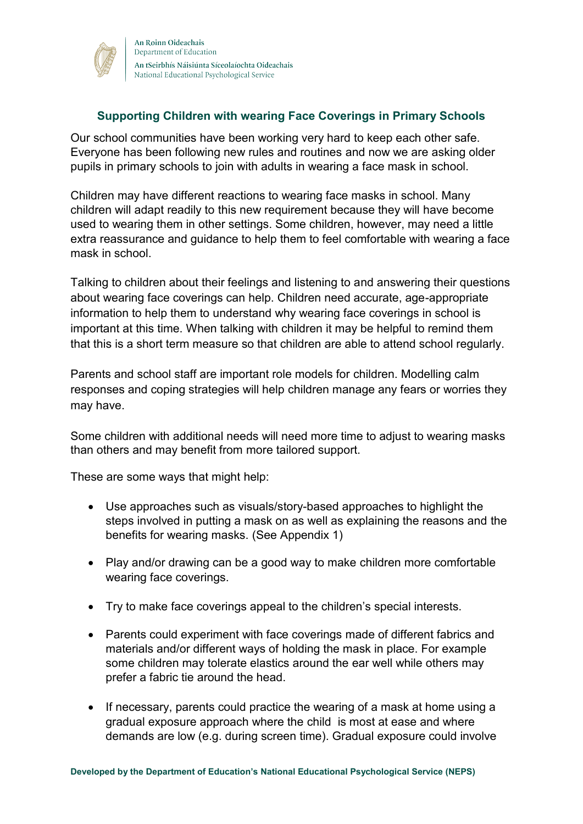

An Roinn Oideachais Department of Education An tSeirbhís Náisiúnta Síceolaíochta Oideachais National Educational Psychological Service

## **Supporting Children with wearing Face Coverings in Primary Schools**

Our school communities have been working very hard to keep each other safe. Everyone has been following new rules and routines and now we are asking older pupils in primary schools to join with adults in wearing a face mask in school.

Children may have different reactions to wearing face masks in school. Many children will adapt readily to this new requirement because they will have become used to wearing them in other settings. Some children, however, may need a little extra reassurance and guidance to help them to feel comfortable with wearing a face mask in school.

Talking to children about their feelings and listening to and answering their questions about wearing face coverings can help. Children need accurate, age-appropriate information to help them to understand why wearing face coverings in school is important at this time. When talking with children it may be helpful to remind them that this is a short term measure so that children are able to attend school regularly.

Parents and school staff are important role models for children. Modelling calm responses and coping strategies will help children manage any fears or worries they may have.

Some children with additional needs will need more time to adjust to wearing masks than others and may benefit from more tailored support.

These are some ways that might help:

- Use approaches such as visuals/story-based approaches to highlight the steps involved in putting a mask on as well as explaining the reasons and the benefits for wearing masks. (See Appendix 1)
- Play and/or drawing can be a good way to make children more comfortable wearing face coverings.
- Try to make face coverings appeal to the children's special interests.
- Parents could experiment with face coverings made of different fabrics and materials and/or different ways of holding the mask in place. For example some children may tolerate elastics around the ear well while others may prefer a fabric tie around the head.
- If necessary, parents could practice the wearing of a mask at home using a gradual exposure approach where the child is most at ease and where demands are low (e.g. during screen time). Gradual exposure could involve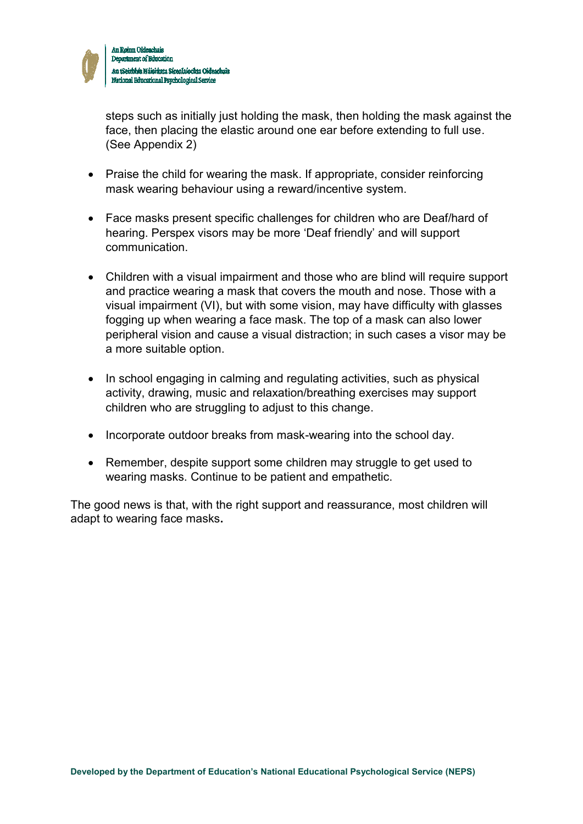

steps such as initially just holding the mask, then holding the mask against the face, then placing the elastic around one ear before extending to full use. (See Appendix 2)

- Praise the child for wearing the mask. If appropriate, consider reinforcing mask wearing behaviour using a reward/incentive system.
- Face masks present specific challenges for children who are Deaf/hard of hearing. Perspex visors may be more 'Deaf friendly' and will support communication.
- Children with a visual impairment and those who are blind will require support and practice wearing a mask that covers the mouth and nose. Those with a visual impairment (VI), but with some vision, may have difficulty with glasses fogging up when wearing a face mask. The top of a mask can also lower peripheral vision and cause a visual distraction; in such cases a visor may be a more suitable option.
- In school engaging in calming and regulating activities, such as physical activity, drawing, music and relaxation/breathing exercises may support children who are struggling to adjust to this change.
- Incorporate outdoor breaks from mask-wearing into the school day.
- Remember, despite support some children may struggle to get used to wearing masks. Continue to be patient and empathetic.

The good news is that, with the right support and reassurance, most children will adapt to wearing face masks**.**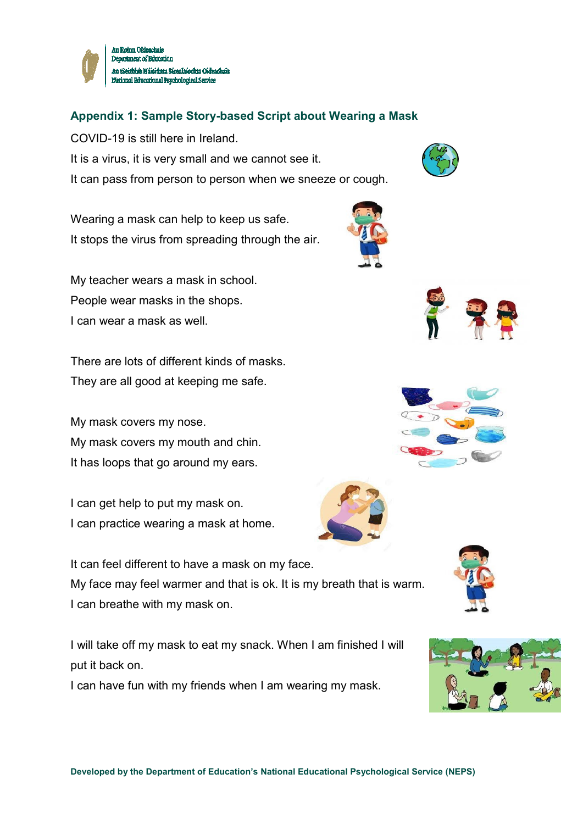

## **Appendix 1: Sample Story-based Script about Wearing a Mask**

COVID-19 is still here in Ireland. It is a virus, it is very small and we cannot see it. It can pass from person to person when we sneeze or cough.

Wearing a mask can help to keep us safe. It stops the virus from spreading through the air.

My teacher wears a mask in school. People wear masks in the shops. I can wear a mask as well.

There are lots of different kinds of masks. They are all good at keeping me safe.

My mask covers my nose. My mask covers my mouth and chin. It has loops that go around my ears.

I can get help to put my mask on. I can practice wearing a mask at home.

It can feel different to have a mask on my face. My face may feel warmer and that is ok. It is my breath that is warm. I can breathe with my mask on.

I will take off my mask to eat my snack. When I am finished I will put it back on.

I can have fun with my friends when I am wearing my mask.